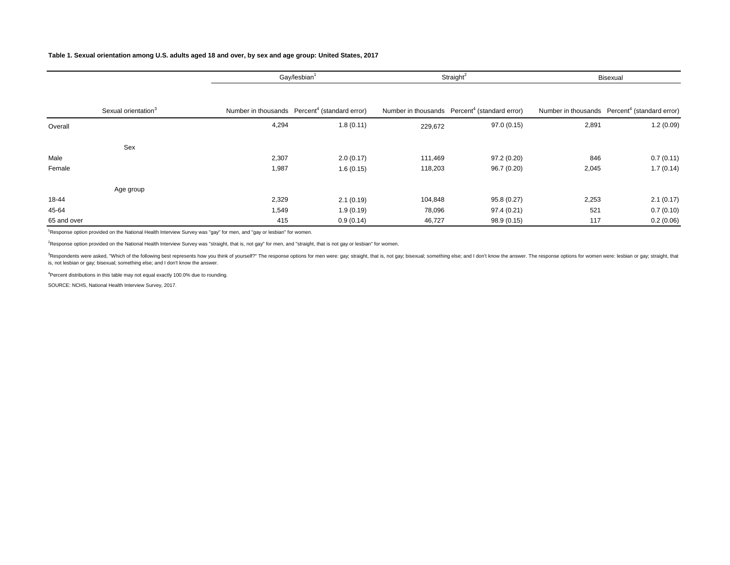# **Table 1. Sexual orientation among U.S. adults aged 18 and over, by sex and age group: United States, 2017**

|             |                                 |       | Straight <sup>2</sup><br>Gay/lesbian <sup>1</sup>         |         |                                                           | Bisexual |                                                           |  |
|-------------|---------------------------------|-------|-----------------------------------------------------------|---------|-----------------------------------------------------------|----------|-----------------------------------------------------------|--|
|             |                                 |       |                                                           |         |                                                           |          |                                                           |  |
|             | Sexual orientation <sup>3</sup> |       | Number in thousands Percent <sup>4</sup> (standard error) |         | Number in thousands Percent <sup>4</sup> (standard error) |          | Number in thousands Percent <sup>4</sup> (standard error) |  |
| Overall     |                                 | 4,294 | 1.8(0.11)                                                 | 229,672 | 97.0(0.15)                                                | 2,891    | 1.2(0.09)                                                 |  |
|             | Sex                             |       |                                                           |         |                                                           |          |                                                           |  |
| Male        |                                 | 2,307 | 2.0(0.17)                                                 | 111,469 | 97.2(0.20)                                                | 846      | 0.7(0.11)                                                 |  |
| Female      |                                 | 1,987 | 1.6(0.15)                                                 | 118,203 | 96.7(0.20)                                                | 2,045    | 1.7(0.14)                                                 |  |
|             | Age group                       |       |                                                           |         |                                                           |          |                                                           |  |
| 18-44       |                                 | 2,329 | 2.1(0.19)                                                 | 104,848 | 95.8 (0.27)                                               | 2,253    | 2.1(0.17)                                                 |  |
| 45-64       |                                 | 1,549 | 1.9(0.19)                                                 | 78,096  | 97.4 (0.21)                                               | 521      | 0.7(0.10)                                                 |  |
| 65 and over |                                 | 415   | 0.9(0.14)                                                 | 46,727  | 98.9 (0.15)                                               | 117      | 0.2(0.06)                                                 |  |

1 Response option provided on the National Health Interview Survey was "gay" for men, and "gay or lesbian" for women.

<sup>2</sup>Response option provided on the National Health Interview Survey was "straight, that is, not gay" for men, and "straight, that is not gay or lesbian" for women.

<sup>3</sup>Respondents were asked, "Which of the following best represents how you think of yourself?" The response options for men were: gay; straight, that is, not gay; bisexual; something else; and I don't know the answer. The is, not lesbian or gay; bisexual; something else; and I don't know the answer.

<sup>4</sup>Percent distributions in this table may not equal exactly 100.0% due to rounding.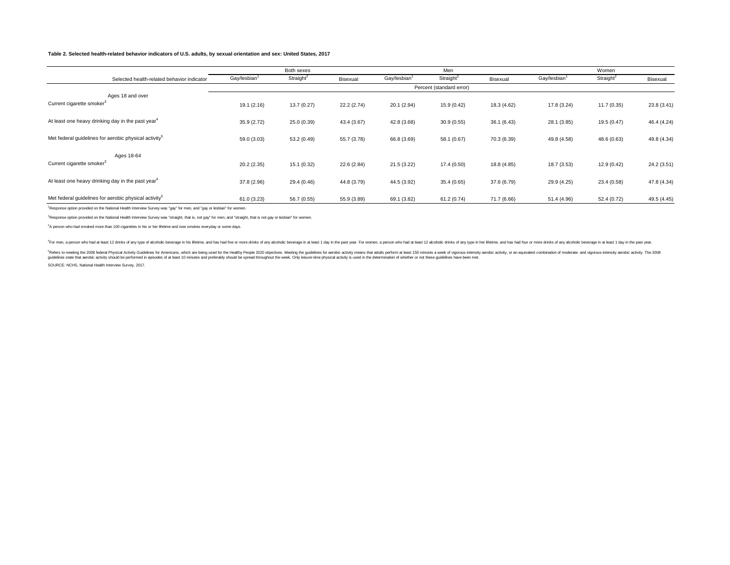# **Table 2. Selected health-related behavior indicators of U.S. adults, by sexual orientation and sex: United States, 2017**

|                                                                   |                          | Both sexes            |             |             | Men                   |             |             | Women                 |             |
|-------------------------------------------------------------------|--------------------------|-----------------------|-------------|-------------|-----------------------|-------------|-------------|-----------------------|-------------|
| Selected health-related behavior indicator                        | Gay/lesbian <sup>1</sup> | Straight <sup>2</sup> | Bisexual    | Gay/lesbian | Straight <sup>2</sup> | Bisexual    | Gay/lesbian | Straight <sup>2</sup> | Bisexual    |
|                                                                   | Percent (standard error) |                       |             |             |                       |             |             |                       |             |
| Ages 18 and over                                                  |                          |                       |             |             |                       |             |             |                       |             |
| Current cigarette smoker <sup>3</sup>                             | 19.1(2.16)               | 13.7(0.27)            | 22.2(2.74)  | 20.1(2.94)  | 15.9 (0.42)           | 18.3 (4.62) | 17.8 (3.24) | 11.7(0.35)            | 23.8 (3.41) |
| At least one heavy drinking day in the past year <sup>4</sup>     | 35.9 (2.72)              | 25.0 (0.39)           | 43.4 (3.67) | 42.8 (3.68) | 30.9(0.55)            | 36.1(6.43)  | 28.1 (3.85) | 19.5 (0.47)           | 46.4 (4.24) |
|                                                                   |                          |                       |             |             |                       |             |             |                       |             |
| Met federal quidelines for aerobic physical activity <sup>5</sup> | 59.0 (3.03)              | 53.2 (0.49)           | 55.7 (3.78) | 66.8 (3.69) | 58.1 (0.67)           | 70.3 (6.39) | 49.8 (4.58) | 48.6 (0.63)           | 49.8 (4.34) |
| Ages 18-64                                                        |                          |                       |             |             |                       |             |             |                       |             |
| Current cigarette smoker <sup>3</sup>                             | 20.2 (2.35)              | 15.1(0.32)            | 22.6 (2.84) | 21.5 (3.22) | 17.4(0.50)            | 18.8 (4.85) | 18.7 (3.53) | 12.9 (0.42)           | 24.2 (3.51) |
| At least one heavy drinking day in the past year <sup>4</sup>     | 37.8 (2.96)              | 29.4 (0.46)           | 44.8 (3.79) | 44.5 (3.92) | 35.4(0.65)            | 37.6 (6.79) | 29.9 (4.25) | 23.4 (0.58)           | 47.8 (4.34) |
| Met federal guidelines for aerobic physical activity <sup>5</sup> | 61.0 (3.23)              | 56.7 (0.55)           | 55.9 (3.89) | 69.1 (3.82) | 61.2(0.74)            | 71.7 (6.66) | 51.4 (4.96) | 52.4 (0.72)           | 49.5 (4.45) |

<sup>1</sup>Response option provided on the National Health Interview Survey was "gay" for men, and "gay or lesbian" for women.

2 Response option provided on the National Health Interview Survey was "straight, that is, not gay" for men, and "straight, that is not gay or lesbian" for women.

3 A person who had smoked more than 100 cigarettes in his or her lifetime and now smokes everyday or some days.

For men, a person who had at least 12 drinks of any type of alcoholic beverage in his lifetime, and has had five or more drinks of any alcoholic beverage in at least 1 day in the past year. For women, a person who had at l

Faders to meeting the 2008 federal Physical Activity Guidelines for Americans, which are being used for the Healthy People 2020 objectives. Meeting the guidelines for aerobic activity means that adults perform at least 150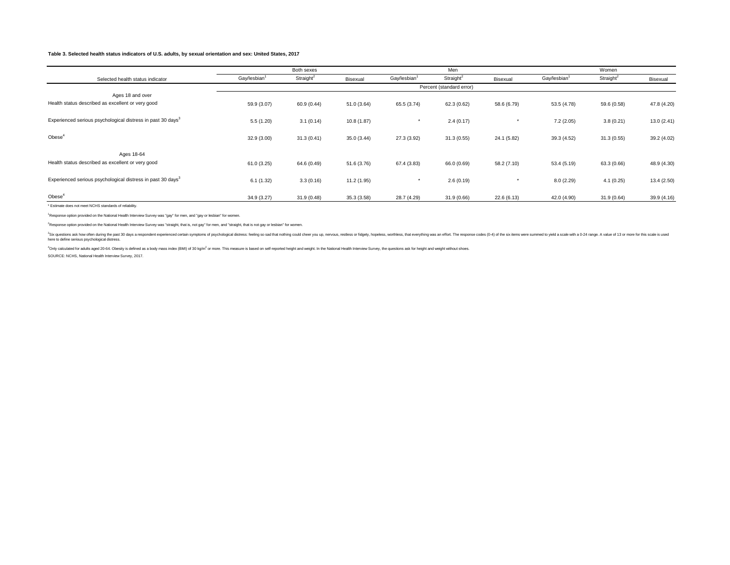# **Table 3. Selected health status indicators of U.S. adults, by sexual orientation and sex: United States, 2017**

|                                                                         |                          | Both sexes               |             |                          | Men                   |             |                          | Women                 |             |
|-------------------------------------------------------------------------|--------------------------|--------------------------|-------------|--------------------------|-----------------------|-------------|--------------------------|-----------------------|-------------|
| Selected health status indicator                                        | Gay/lesbian <sup>1</sup> | Straight <sup>2</sup>    | Bisexual    | Gay/lesbian <sup>1</sup> | Straight <sup>2</sup> | Bisexual    | Gay/lesbian <sup>1</sup> | Straight <sup>2</sup> | Bisexual    |
|                                                                         |                          | Percent (standard error) |             |                          |                       |             |                          |                       |             |
| Ages 18 and over                                                        |                          |                          |             |                          |                       |             |                          |                       |             |
| Health status described as excellent or very good                       | 59.9 (3.07)              | 60.9 (0.44)              | 51.0 (3.64) | 65.5 (3.74)              | 62.3 (0.62)           | 58.6 (6.79) | 53.5 (4.78)              | 59.6 (0.58)           | 47.8 (4.20) |
|                                                                         |                          |                          |             |                          |                       |             |                          |                       |             |
| Experienced serious psychological distress in past 30 days <sup>3</sup> | 5.5(1.20)                | 3.1(0.14)                | 10.8(1.87)  | $\star$                  | 2.4(0.17)             |             | 7.2(2.05)                | 3.8(0.21)             | 13.0(2.41)  |
| Obese <sup>4</sup>                                                      |                          |                          |             |                          |                       |             |                          |                       |             |
|                                                                         | 32.9(3.00)               | 31.3(0.41)               | 35.0(3.44)  | 27.3 (3.92)              | 31.3(0.55)            | 24.1 (5.82) | 39.3 (4.52)              | 31.3(0.55)            | 39.2 (4.02) |
| Ages 18-64                                                              |                          |                          |             |                          |                       |             |                          |                       |             |
| Health status described as excellent or very good                       | 61.0(3.25)               | 64.6 (0.49)              | 51.6 (3.76) | 67.4 (3.83)              | 66.0 (0.69)           | 58.2 (7.10) | 53.4 (5.19)              | 63.3 (0.66)           | 48.9 (4.30) |
|                                                                         |                          |                          |             |                          |                       |             |                          |                       |             |
| Experienced serious psychological distress in past 30 days <sup>3</sup> | 6.1(1.32)                | 3.3(0.16)                | 11.2 (1.95) | $\star$                  | 2.6(0.19)             |             | 8.0(2.29)                | 4.1(0.25)             | 13.4(2.50)  |
| Obese <sup>4</sup>                                                      | 34.9(3.27)               | 31.9(0.48)               | 35.3(3.58)  | 28.7 (4.29)              | 31.9(0.66)            | 22.6 (6.13) | 42.0 (4.90)              | 31.9(0.64)            | 39.9 (4.16) |
| * Estimate does not meet NCHS standards of reliability.                 |                          |                          |             |                          |                       |             |                          |                       |             |

1 Response option provided on the National Health Interview Survey was "gay" for men, and "gay or lesbian" for women.

2 Response option provided on the National Health Interview Survey was "straight, that is, not gay" for men, and "straight, that is not gay or lesbian" for women.

<sup>3</sup>Sx question sak how often during the past 30 days a respondent experienced certain symptoms of psychological distress: feeling so sad that nothing could cheer you up, nervous, restless, which experimely was an effort. T

4Only calculated for adults aged 20-64. Obesity is defined as a body mass index (BMI) of 30 kg/m2 or more. This measure is based on self-reported height and weight. In the National Health Interview Survey, the questions as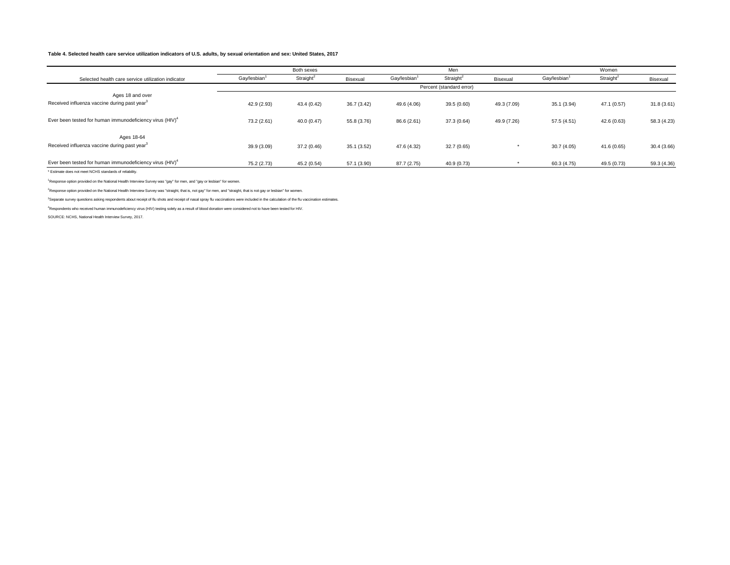# **Table 4. Selected health care service utilization indicators of U.S. adults, by sexual orientation and sex: United States, 2017**

|                                                                              |                          | Both sexes            |             |             | Men                   |             |                          | Women                 |             |
|------------------------------------------------------------------------------|--------------------------|-----------------------|-------------|-------------|-----------------------|-------------|--------------------------|-----------------------|-------------|
| Selected health care service utilization indicator                           | Gay/lesbian <sup>1</sup> | Straight <sup>2</sup> | Bisexual    | Gay/lesbian | Straight <sup>2</sup> | Bisexual    | Gay/lesbian <sup>1</sup> | Straight <sup>2</sup> | Bisexual    |
|                                                                              | Percent (standard error) |                       |             |             |                       |             |                          |                       |             |
| Ages 18 and over<br>Received influenza vaccine during past year <sup>3</sup> | 42.9 (2.93)              | 43.4(0.42)            | 36.7(3.42)  | 49.6 (4.06) | 39.5 (0.60)           | 49.3 (7.09) | 35.1 (3.94)              | 47.1 (0.57)           | 31.8(3.61)  |
| Ever been tested for human immunodeficiency virus (HIV) <sup>4</sup>         | 73.2 (2.61)              | 40.0(0.47)            | 55.8 (3.76) | 86.6 (2.61) | 37.3 (0.64)           | 49.9 (7.26) | 57.5 (4.51)              | 42.6(0.63)            | 58.3 (4.23) |
| Ages 18-64<br>Received influenza vaccine during past year <sup>3</sup>       | 39.9 (3.09)              | 37.2 (0.46)           | 35.1(3.52)  | 47.6 (4.32) | 32.7(0.65)            |             | 30.7(4.05)               | 41.6 (0.65)           | 30.4(3.66)  |
| Ever been tested for human immunodeficiency virus (HIV) <sup>4</sup>         | 75.2 (2.73)              | 45.2 (0.54)           | 57.1 (3.90) | 87.7 (2.75) | 40.9 (0.73)           |             | 60.3 (4.75)              | 49.5 (0.73)           | 59.3 (4.36) |

\* Estimate does not meet NCHS standards of reliability.

1 Response option provided on the National Health Interview Survey was "gay" for men, and "gay or lesbian" for women.

2 Response option provided on the National Health Interview Survey was "straight, that is, not gay" for men, and "straight, that is not gay or lesbian" for women.

<sup>3</sup>Separate survey questions asking respondents about receipt of flu shots and receipt of nasal spray flu vaccinations were included in the calculation of the flu vaccination estimates.

4 Respondents who received human immunodeficiency virus (HIV) testing solely as a result of blood donation were considered not to have been tested for HIV.